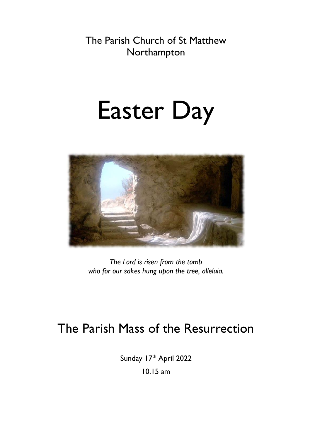The Parish Church of St Matthew Northampton

# Easter Day



*The Lord is risen from the tomb who for our sakes hung upon the tree, alleluia.*

## The Parish Mass of the Resurrection

Sunday 17th April 2022 10.15 am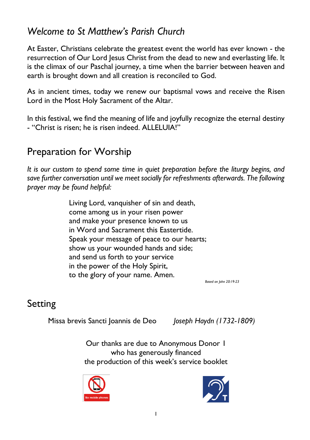### *Welcome to St Matthew's Parish Church*

At Easter, Christians celebrate the greatest event the world has ever known - the resurrection of Our Lord Jesus Christ from the dead to new and everlasting life. It is the climax of our Paschal journey, a time when the barrier between heaven and earth is brought down and all creation is reconciled to God.

As in ancient times, today we renew our baptismal vows and receive the Risen Lord in the Most Holy Sacrament of the Altar.

In this festival, we find the meaning of life and joyfully recognize the eternal destiny - "Christ is risen; he is risen indeed. ALLELUIA!"

### Preparation for Worship

*It is our custom to spend some time in quiet preparation before the liturgy begins, and save further conversation until we meet socially for refreshments afterwards. The following prayer may be found helpful:*

> Living Lord, vanquisher of sin and death, come among us in your risen power and make your presence known to us in Word and Sacrament this Eastertide. Speak your message of peace to our hearts; show us your wounded hands and side; and send us forth to your service in the power of the Holy Spirit, to the glory of your name. Amen.

*Based on John 20:19-23*

### Setting

Missa brevis Sancti Joannis de Deo *Joseph Haydn (1732-1809)*

Our thanks are due to Anonymous Donor 1 who has generously financed the production of this week's service booklet



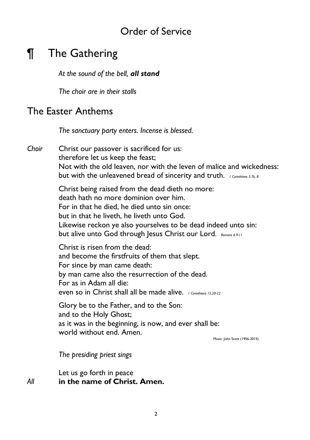### Order of Service

### ¶ The Gathering

*At the sound of the bell, all stand*

*The choir are in their stalls*

### The Easter Anthems

*The sanctuary party enters. Incense is blessed.*

*Choir* Christ our passover is sacrificed for us: therefore let us keep the feast; Not with the old leaven, nor with the leven of malice and wickedness: but with the unleavened bread of sincerity and truth. *1 Corinthians 5.7b, 8*

> Christ being raised from the dead dieth no more: death hath no more dominion over him. For in that he died, he died unto sin once: but in that he liveth, he liveth unto God. Likewise reckon ye also yourselves to be dead indeed unto sin: but alive unto God through Jesus Christ our Lord. Romans 6.9-11

Christ is risen from the dead: and become the firstfruits of them that slept. For since by man came death: by man came also the resurrection of the dead. For as in Adam all die: even so in Christ shall all be made alive. *1 Corinthians 15.20-22*

Glory be to the Father, and to the Son: and to the Holy Ghost; as it was in the beginning, is now, and ever shall be: world without end. Amen.

Music: John Scott (1956-2015)

*The presiding priest sings*

Let us go forth in peace *All* **in the name of Christ. Amen.**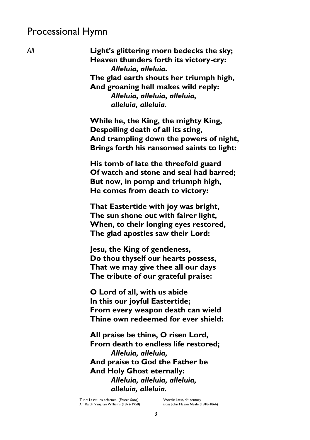### Processional Hymn

*All* **Light's glittering morn bedecks the sky; Heaven thunders forth its victory-cry:** *Alleluia, alleluia.* **The glad earth shouts her triumph high, And groaning hell makes wild reply:** *Alleluia, alleluia, alleluia, alleluia, alleluia.*

> **While he, the King, the mighty King, Despoiling death of all its sting, And trampling down the powers of night, Brings forth his ransomed saints to light:**

**His tomb of late the threefold guard Of watch and stone and seal had barred; But now, in pomp and triumph high, He comes from death to victory:**

**That Eastertide with joy was bright, The sun shone out with fairer light, When, to their longing eyes restored, The glad apostles saw their Lord:**

**Jesu, the King of gentleness, Do thou thyself our hearts possess, That we may give thee all our days The tribute of our grateful praise:**

**O Lord of all, with us abide In this our joyful Eastertide; From every weapon death can wield Thine own redeemed for ever shield:**

**All praise be thine, O risen Lord, From death to endless life restored;** *Alleluia, alleluia,* **And praise to God the Father be And Holy Ghost eternally:** *Alleluia, alleluia, alleluia, alleluia, alleluia.*

Tune: Lasst uns erfreuen (Easter Song)<br>
Arr Ralph Vaughan Williams (1872-1958) trans John Mason Neale (1818-1866) Arr Ralph Vaughan Williams (1872-1958)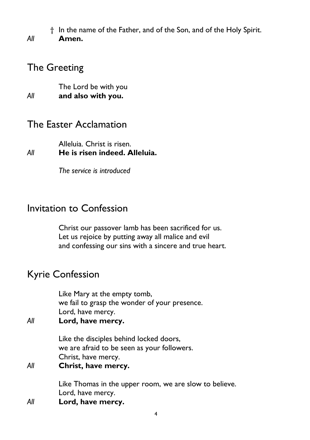† In the name of the Father, and of the Son, and of the Holy Spirit.

*All* **Amen.**

### The Greeting

The Lord be with you *All* **and also with you.**

### The Easter Acclamation

#### Alleluia. Christ is risen. *All* **He is risen indeed. Alleluia.**

*The service is introduced*

### Invitation to Confession

Christ our passover lamb has been sacrificed for us. Let us rejoice by putting away all malice and evil and confessing our sins with a sincere and true heart.

### Kyrie Confession

Like Mary at the empty tomb, we fail to grasp the wonder of your presence. Lord, have mercy.

#### *All* **Lord, have mercy.**

Like the disciples behind locked doors, we are afraid to be seen as your followers. Christ, have mercy.

### *All* **Christ, have mercy.**

Like Thomas in the upper room, we are slow to believe. Lord, have mercy.

*All* **Lord, have mercy.**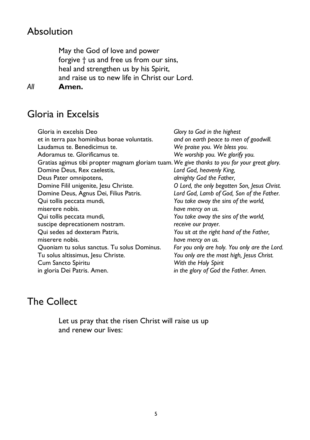### Absolution

May the God of love and power forgive † us and free us from our sins, heal and strengthen us by his Spirit, and raise us to new life in Christ our Lord. *All* **Amen.**

### Gloria in Excelsis

| Gloria in excelsis Deo                                                                       | Glory to God in the highest                   |
|----------------------------------------------------------------------------------------------|-----------------------------------------------|
| et in terra pax hominibus bonae voluntatis.                                                  | and on earth peace to men of goodwill.        |
| Laudamus te. Benedicimus te.                                                                 | We praise you. We bless you.                  |
| Adoramus te. Glorificamus te.                                                                | We worship you. We glorify you.               |
| Gratias agimus tibi propter magnam gloriam tuam. We give thanks to you for your great glory. |                                               |
| Domine Deus, Rex caelestis,                                                                  | Lord God, heavenly King,                      |
| Deus Pater omnipotens,                                                                       | almighty God the Father,                      |
| Domine Filil unigenite, Jesu Christe.                                                        | O Lord, the only begotten Son, Jesus Christ.  |
| Domine Deus, Agnus Dei, Filius Patris.                                                       | Lord God, Lamb of God, Son of the Father.     |
| Qui tollis peccata mundi,                                                                    | You take away the sins of the world,          |
| miserere nobis.                                                                              | have mercy on us.                             |
| Qui tollis peccata mundi,                                                                    | You take away the sins of the world,          |
| suscipe deprecationem nostram.                                                               | receive our prayer.                           |
| Qui sedes ad dexteram Patris,                                                                | You sit at the right hand of the Father,      |
| miserere nobis.                                                                              | have mercy on us.                             |
| Quoniam tu solus sanctus. Tu solus Dominus.                                                  | For you only are holy. You only are the Lord. |
| Tu solus altissimus, Jesu Christe.                                                           | You only are the most high, Jesus Christ.     |
| Cum Sancto Spiritu                                                                           | With the Holy Spirit                          |
| in gloria Dei Patris. Amen.                                                                  | in the glory of God the Father. Amen.         |
|                                                                                              |                                               |

### The Collect

Let us pray that the risen Christ will raise us up and renew our lives: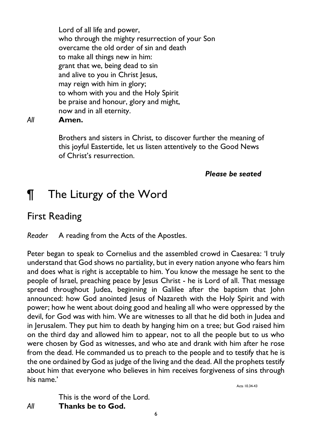Lord of all life and power, who through the mighty resurrection of your Son overcame the old order of sin and death to make all things new in him: grant that we, being dead to sin and alive to you in Christ Jesus, may reign with him in glory; to whom with you and the Holy Spirit be praise and honour, glory and might, now and in all eternity.

*All* **Amen.**

Brothers and sisters in Christ, to discover further the meaning of this joyful Eastertide, let us listen attentively to the Good News of Christ's resurrection.

#### *Please be seated*

### ¶ The Liturgy of the Word

### First Reading

*Reader* A reading from the Acts of the Apostles.

Peter began to speak to Cornelius and the assembled crowd in Caesarea: 'I truly understand that God shows no partiality, but in every nation anyone who fears him and does what is right is acceptable to him. You know the message he sent to the people of Israel, preaching peace by Jesus Christ - he is Lord of all. That message spread throughout Judea, beginning in Galilee after the baptism that John announced: how God anointed Jesus of Nazareth with the Holy Spirit and with power; how he went about doing good and healing all who were oppressed by the devil, for God was with him. We are witnesses to all that he did both in Judea and in Jerusalem. They put him to death by hanging him on a tree; but God raised him on the third day and allowed him to appear, not to all the people but to us who were chosen by God as witnesses, and who ate and drank with him after he rose from the dead. He commanded us to preach to the people and to testify that he is the one ordained by God as judge of the living and the dead. All the prophets testify about him that everyone who believes in him receives forgiveness of sins through his name.'

Acts 10.34-43

This is the word of the Lord. *All* **Thanks be to God.**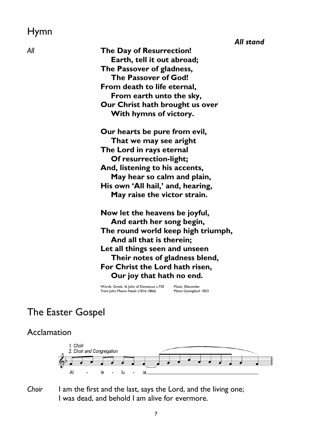### Hymn

*All* **The Day of Resurrection! Earth, tell it out abroad; The Passover of gladness, The Passover of God! From death to life eternal, From earth unto the sky, Our Christ hath brought us over With hymns of victory.**

> **Our hearts be pure from evil, That we may see aright The Lord in rays eternal Of resurrection-light; And, listening to his accents, May hear so calm and plain, His own 'All hail,' and, hearing, May raise the victor strain.**

**Now let the heavens be joyful, And earth her song begin, The round world keep high triumph, And all that is therein; Let all things seen and unseen Their notes of gladness blend, For Christ the Lord hath risen, Our joy that hath no end.**

Words: Greek, St John of Damascus c.750 Music: Ellacombe<br>*Trans* John Mason Neale (1816-1866) Mainz *Gesangbuch* 1833

### The Easter Gospel

**Acclamation** 



*Choir* I am the first and the last, says the Lord, and the living one; I was dead, and behold I am alive for evermore.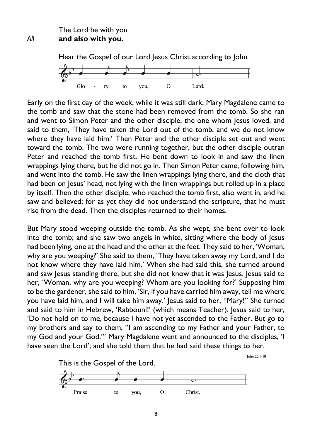#### The Lord be with you *All* **and also with you.**

Hear the Gospel of our Lord Jesus Christ according to John*.*



Early on the first day of the week, while it was still dark, Mary Magdalene came to the tomb and saw that the stone had been removed from the tomb. So she ran and went to Simon Peter and the other disciple, the one whom Jesus loved, and said to them, 'They have taken the Lord out of the tomb, and we do not know where they have laid him.' Then Peter and the other disciple set out and went toward the tomb. The two were running together, but the other disciple outran Peter and reached the tomb first. He bent down to look in and saw the linen wrappings lying there, but he did not go in. Then Simon Peter came, following him, and went into the tomb. He saw the linen wrappings lying there, and the cloth that had been on Jesus' head, not lying with the linen wrappings but rolled up in a place by itself. Then the other disciple, who reached the tomb first, also went in, and he saw and believed; for as yet they did not understand the scripture, that he must rise from the dead. Then the disciples returned to their homes.

But Mary stood weeping outside the tomb. As she wept, she bent over to look into the tomb; and she saw two angels in white, sitting where the body of Jesus had been lying, one at the head and the other at the feet. They said to her, 'Woman, why are you weeping?' She said to them, 'They have taken away my Lord, and I do not know where they have laid him.' When she had said this, she turned around and saw Jesus standing there, but she did not know that it was Jesus. Jesus said to her, 'Woman, why are you weeping? Whom are you looking for?' Supposing him to be the gardener, she said to him, 'Sir, if you have carried him away, tell me where you have laid him, and I will take him away.' Jesus said to her, "Mary!" She turned and said to him in Hebrew, 'Rabbouni!' (which means Teacher). Jesus said to her, 'Do not hold on to me, because I have not yet ascended to the Father. But go to my brothers and say to them, "I am ascending to my Father and your Father, to my God and your God."' Mary Magdalene went and announced to the disciples, 'I have seen the Lord'; and she told them that he had said these things to her.

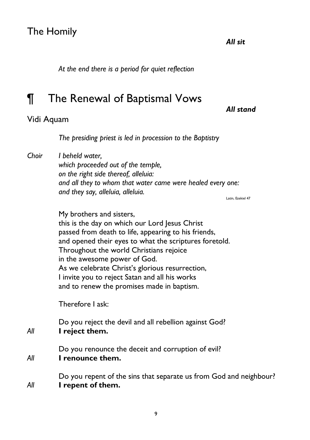### The Homily

*All sit*

*All stand*

*At the end there is a period for quiet reflection*

### ¶ The Renewal of Baptismal Vows

### Vidi Aquam

*The presiding priest is led in procession to the Baptistry*

*Choir I beheld water, which proceeded out of the temple, on the right side thereof, alleluia: and all they to whom that water came were healed every one: and they say, alleluia, alleluia.*

Latin, Ezekiel 47

My brothers and sisters, this is the day on which our Lord Jesus Christ passed from death to life, appearing to his friends, and opened their eyes to what the scriptures foretold. Throughout the world Christians rejoice in the awesome power of God. As we celebrate Christ's glorious resurrection, I invite you to reject Satan and all his works and to renew the promises made in baptism.

Therefore I ask:

Do you reject the devil and all rebellion against God? *All* **I reject them.**

Do you renounce the deceit and corruption of evil? *All* **I renounce them.**

Do you repent of the sins that separate us from God and neighbour? *All* **I repent of them.**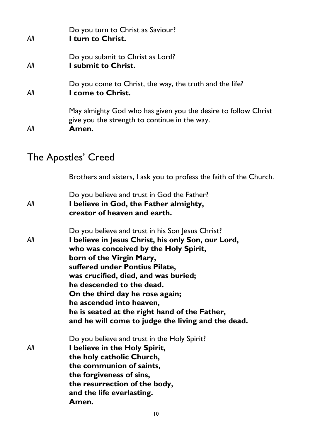| All | Do you turn to Christ as Saviour?<br>I turn to Christ.                                                                   |
|-----|--------------------------------------------------------------------------------------------------------------------------|
| All | Do you submit to Christ as Lord?<br>I submit to Christ.                                                                  |
| All | Do you come to Christ, the way, the truth and the life?<br>Lcome to Christ.                                              |
| All | May almighty God who has given you the desire to follow Christ<br>give you the strength to continue in the way.<br>Amen. |
|     |                                                                                                                          |

### The Apostles' Creed

Brothers and sisters, I ask you to profess the faith of the Church.

|     | Do you believe and trust in God the Father? |
|-----|---------------------------------------------|
| All | I believe in God, the Father almighty,      |
|     | creator of heaven and earth.                |

- Do you believe and trust in his Son Jesus Christ? *All* **I believe in Jesus Christ, his only Son, our Lord, who was conceived by the Holy Spirit, born of the Virgin Mary, suffered under Pontius Pilate, was crucified, died, and was buried; he descended to the dead. On the third day he rose again; he ascended into heaven, he is seated at the right hand of the Father, and he will come to judge the living and the dead.**
- Do you believe and trust in the Holy Spirit? *All* **I believe in the Holy Spirit, the holy catholic Church, the communion of saints, the forgiveness of sins, the resurrection of the body, and the life everlasting. Amen.**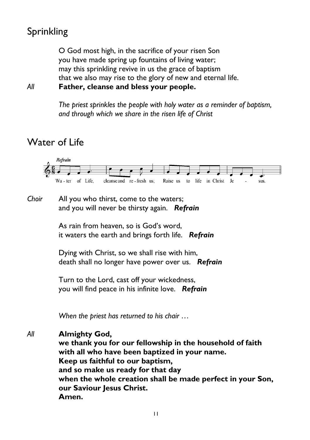### Sprinkling

O God most high, in the sacrifice of your risen Son you have made spring up fountains of living water; may this sprinkling revive in us the grace of baptism that we also may rise to the glory of new and eternal life. *All* **Father, cleanse and bless your people.**

> *The priest sprinkles the people with holy water as a reminder of baptism, and through which we share in the risen life of Christ*

### Water of Life



*Choir* All you who thirst, come to the waters; and you will never be thirsty again. *Refrain*

> As rain from heaven, so is God's word, it waters the earth and brings forth life. *Refrain*

Dying with Christ, so we shall rise with him, death shall no longer have power over us. *Refrain*

Turn to the Lord, cast off your wickedness, you will find peace in his infinite love. *Refrain*

*When the priest has returned to his chair …*

*All* **Almighty God, we thank you for our fellowship in the household of faith with all who have been baptized in your name. Keep us faithful to our baptism, and so make us ready for that day when the whole creation shall be made perfect in your Son, our Saviour Jesus Christ. Amen.**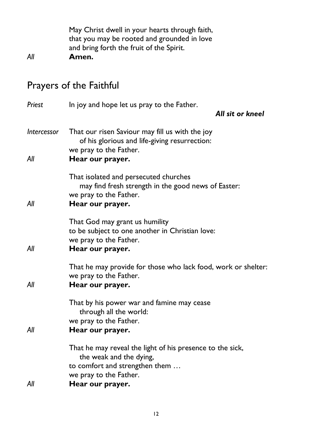|     | May Christ dwell in your hearts through faith, |
|-----|------------------------------------------------|
|     | that you may be rooted and grounded in love    |
|     | and bring forth the fruit of the Spirit.       |
| All | Amen.                                          |

### Prayers of the Faithful

| Priest                           | In joy and hope let us pray to the Father.                                                                                                       |
|----------------------------------|--------------------------------------------------------------------------------------------------------------------------------------------------|
|                                  | All sit or kneel                                                                                                                                 |
| <i><u><b>Intercessor</b></u></i> | That our risen Saviour may fill us with the joy<br>of his glorious and life-giving resurrection:<br>we pray to the Father.                       |
| Αll                              | Hear our prayer.                                                                                                                                 |
| Αll                              | That isolated and persecuted churches<br>may find fresh strength in the good news of Easter:<br>we pray to the Father.<br>Hear our prayer.       |
|                                  |                                                                                                                                                  |
| All                              | That God may grant us humility<br>to be subject to one another in Christian love:<br>we pray to the Father.<br>Hear our prayer.                  |
| Αll                              | That he may provide for those who lack food, work or shelter:<br>we pray to the Father.<br>Hear our prayer.                                      |
| Αll                              | That by his power war and famine may cease<br>through all the world:<br>we pray to the Father.<br>Hear our prayer.                               |
|                                  | That he may reveal the light of his presence to the sick,<br>the weak and the dying,<br>to comfort and strengthen them<br>we pray to the Father. |
| Αll                              | Hear our prayer.                                                                                                                                 |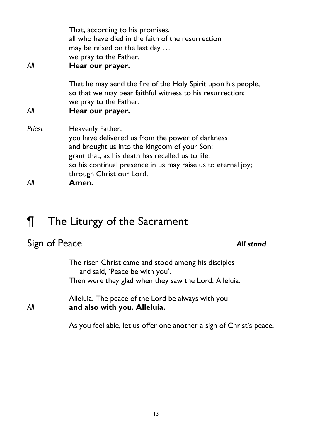| All    | That, according to his promises,<br>all who have died in the faith of the resurrection<br>may be raised on the last day<br>we pray to the Father.<br>Hear our prayer.                                                                                                 |
|--------|-----------------------------------------------------------------------------------------------------------------------------------------------------------------------------------------------------------------------------------------------------------------------|
| All    | That he may send the fire of the Holy Spirit upon his people,<br>so that we may bear faithful witness to his resurrection:<br>we pray to the Father.<br>Hear our prayer.                                                                                              |
| Priest | Heavenly Father,<br>you have delivered us from the power of darkness<br>and brought us into the kingdom of your Son:<br>grant that, as his death has recalled us to life,<br>so his continual presence in us may raise us to eternal joy;<br>through Christ our Lord. |
| All    | Amen.                                                                                                                                                                                                                                                                 |

### ¶ The Liturgy of the Sacrament

### Sign of Peace **All stand**

|     | The risen Christ came and stood among his disciples<br>and said, 'Peace be with you'.<br>Then were they glad when they saw the Lord. Alleluia. |
|-----|------------------------------------------------------------------------------------------------------------------------------------------------|
| All | Alleluia. The peace of the Lord be always with you<br>and also with you. Alleluia.                                                             |

As you feel able, let us offer one another a sign of Christ's peace.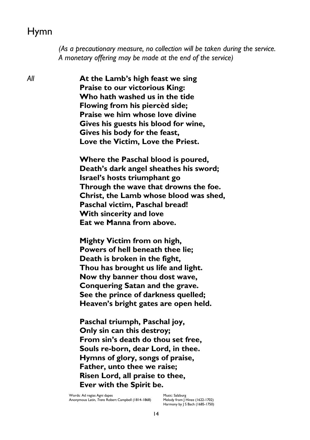### Hymn

*(As a precautionary measure, no collection will be taken during the service. A monetary offering may be made at the end of the service)*

*All* **At the Lamb's high feast we sing Praise to our victorious King: Who hath washed us in the tide Flowing from his piercèd side; Praise we him whose love divine Gives his guests his blood for wine, Gives his body for the feast, Love the Victim, Love the Priest.**

> **Where the Paschal blood is poured, Death's dark angel sheathes his sword; Israel's hosts triumphant go Through the wave that drowns the foe. Christ, the Lamb whose blood was shed, Paschal victim, Paschal bread! With sincerity and love Eat we Manna from above.**

**Mighty Victim from on high, Powers of hell beneath thee lie; Death is broken in the fight, Thou has brought us life and light. Now thy banner thou dost wave, Conquering Satan and the grave. See the prince of darkness quelled; Heaven's bright gates are open held.**

**Paschal triumph, Paschal joy, Only sin can this destroy; From sin's death do thou set free, Souls re-born, dear Lord, in thee. Hymns of glory, songs of praise, Father, unto thee we raise; Risen Lord, all praise to thee, Ever with the Spirit be.**

Words: Ad regias Agni dapes Music: Salzburg<br>Anonymous Latin, Trans Robert Campbell (1814-1868) Melody from J Hinze (1622-1702) Anonymous Latin, *Trans* Robert Campbell (1814-1868)

Harmony by J S Bach (1685-1750)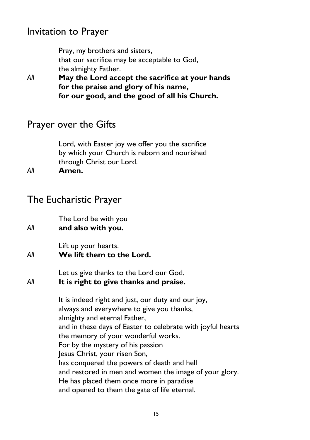### Invitation to Prayer

Pray, my brothers and sisters, that our sacrifice may be acceptable to God, the almighty Father.

*All* **May the Lord accept the sacrifice at your hands for the praise and glory of his name, for our good, and the good of all his Church.**

### Prayer over the Gifts

Lord, with Easter joy we offer you the sacrifice by which your Church is reborn and nourished through Christ our Lord.

*All* **Amen.**

### The Eucharistic Prayer

The Lord be with you

*All* **and also with you.**

Lift up your hearts.

*All* **We lift them to the Lord.**

Let us give thanks to the Lord our God.

### *All* **It is right to give thanks and praise.**

It is indeed right and just, our duty and our joy, always and everywhere to give you thanks, almighty and eternal Father, and in these days of Easter to celebrate with joyful hearts the memory of your wonderful works. For by the mystery of his passion Jesus Christ, your risen Son, has conquered the powers of death and hell and restored in men and women the image of your glory. He has placed them once more in paradise and opened to them the gate of life eternal.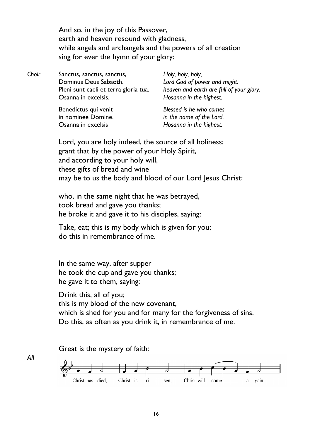And so, in the joy of this Passover, earth and heaven resound with gladness, while angels and archangels and the powers of all creation sing for ever the hymn of your glory:

*Choir* Sanctus, sanctus, sanctus, *Holy, holy, holy,* Dominus Deus Sabaoth. *Lord God of power and might.* Osanna in excelsis. *Hosanna in the highest.*

Pleni sunt caeli et terra gloria tua. *heaven and earth are full of your glory.*

Benedictus qui venit *Blessed is he who comes*

in nominee Domine. *in the name of the Lord.* Osanna in excelsis *Hosanna in the highest.*

Lord, you are holy indeed, the source of all holiness; grant that by the power of your Holy Spirit, and according to your holy will, these gifts of bread and wine may be to us the body and blood of our Lord Jesus Christ;

who, in the same night that he was betrayed, took bread and gave you thanks; he broke it and gave it to his disciples, saying:

Take, eat; this is my body which is given for you; do this in remembrance of me.

In the same way, after supper he took the cup and gave you thanks; he gave it to them, saying:

Drink this, all of you; this is my blood of the new covenant, which is shed for you and for many for the forgiveness of sins. Do this, as often as you drink it, in remembrance of me.

Great is the mystery of faith:

*All*

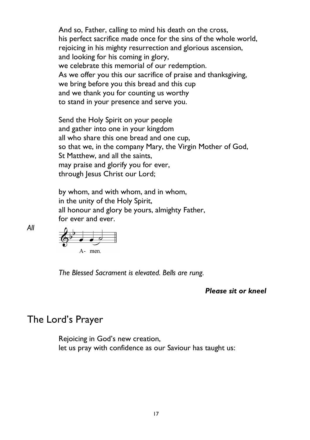And so, Father, calling to mind his death on the cross, his perfect sacrifice made once for the sins of the whole world, rejoicing in his mighty resurrection and glorious ascension, and looking for his coming in glory, we celebrate this memorial of our redemption. As we offer you this our sacrifice of praise and thanksgiving, we bring before you this bread and this cup and we thank you for counting us worthy to stand in your presence and serve you.

Send the Holy Spirit on your people and gather into one in your kingdom all who share this one bread and one cup, so that we, in the company Mary, the Virgin Mother of God, St Matthew, and all the saints, may praise and glorify you for ever, through Jesus Christ our Lord;

by whom, and with whom, and in whom, in the unity of the Holy Spirit, all honour and glory be yours, almighty Father, for ever and ever.

*All*



*The Blessed Sacrament is elevated. Bells are rung.*

#### *Please sit or kneel*

### The Lord's Prayer

Rejoicing in God's new creation, let us pray with confidence as our Saviour has taught us: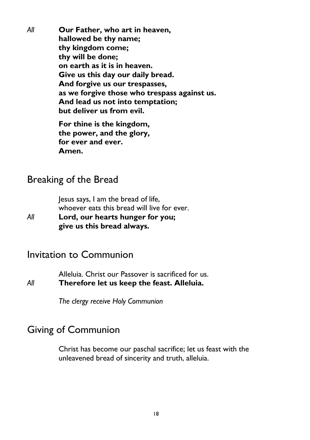*All* **Our Father, who art in heaven, hallowed be thy name; thy kingdom come; thy will be done; on earth as it is in heaven. Give us this day our daily bread. And forgive us our trespasses, as we forgive those who trespass against us. And lead us not into temptation; but deliver us from evil.**

> **For thine is the kingdom, the power, and the glory, for ever and ever. Amen.**

### Breaking of the Bread

Jesus says, I am the bread of life, whoever eats this bread will live for ever.

*All* **Lord, our hearts hunger for you; give us this bread always.**

### Invitation to Communion

Alleluia. Christ our Passover is sacrificed for us. *All* **Therefore let us keep the feast. Alleluia.**

*The clergy receive Holy Communion*

### Giving of Communion

Christ has become our paschal sacrifice; let us feast with the unleavened bread of sincerity and truth, alleluia.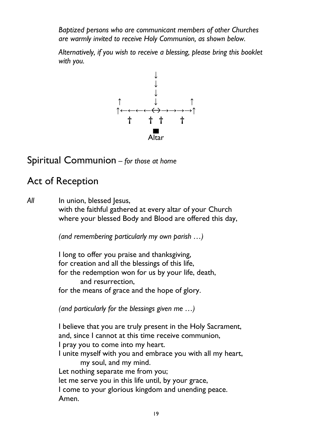*Baptized persons who are communicant members of other Churches are warmly invited to receive Holy Communion, as shown below.*

*Alternatively, if you wish to receive a blessing, please bring this booklet with you.* 



### Spiritual Communion – *for those at home*

### Act of Reception

*All* In union, blessed Jesus, with the faithful gathered at every altar of your Church where your blessed Body and Blood are offered this day,

*(and remembering particularly my own parish …)* 

I long to offer you praise and thanksgiving, for creation and all the blessings of this life, for the redemption won for us by your life, death, and resurrection, for the means of grace and the hope of glory.

*(and particularly for the blessings given me …)*

I believe that you are truly present in the Holy Sacrament, and, since I cannot at this time receive communion, I pray you to come into my heart. I unite myself with you and embrace you with all my heart, my soul, and my mind. Let nothing separate me from you; let me serve you in this life until, by your grace, I come to your glorious kingdom and unending peace. Amen.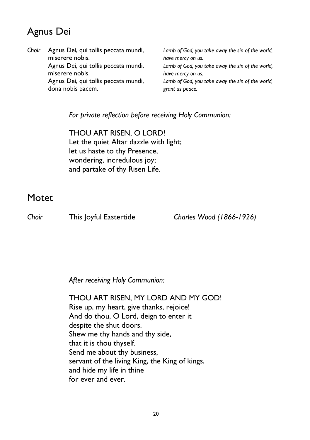### Agnus Dei

*Choir* Agnus Dei, qui tollis peccata mundi, *Lamb of God, you take away the sin of the world,* miserere nobis. *have mercy on us.* Agnus Dei, qui tollis peccata mundi, *Lamb of God, you take away the sin of the world,* miserere nobis. *have mercy on us.* Agnus Dei, qui tollis peccata mundi, *Lamb of God, you take away the sin of the world,* dona nobis pacem. *grant us peace.*

*For private reflection before receiving Holy Communion:*

THOU ART RISEN, O LORD! Let the quiet Altar dazzle with light; let us haste to thy Presence, wondering, incredulous joy; and partake of thy Risen Life.

### Motet

*Choir* This Joyful Eastertide *Charles Wood (1866-1926)*

*After receiving Holy Communion:*

THOU ART RISEN, MY LORD AND MY GOD! Rise up, my heart, give thanks, rejoice! And do thou, O Lord, deign to enter it despite the shut doors. Shew me thy hands and thy side, that it is thou thyself. Send me about thy business, servant of the living King, the King of kings, and hide my life in thine for ever and ever.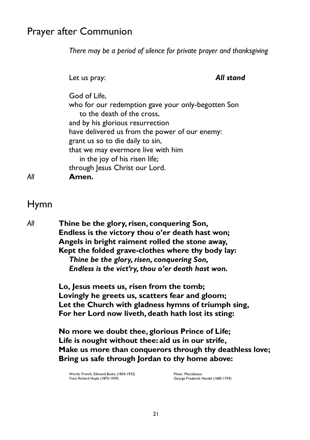### Prayer after Communion

|     | There may be a period of silence for private prayer and thanksgiving             |           |  |
|-----|----------------------------------------------------------------------------------|-----------|--|
|     | Let us pray:                                                                     | All stand |  |
|     | God of Life,                                                                     |           |  |
|     | who for our redemption gave your only-begotten Son<br>to the death of the cross. |           |  |
|     | and by his glorious resurrection                                                 |           |  |
|     | have delivered us from the power of our enemy:                                   |           |  |
|     | grant us so to die daily to sin,                                                 |           |  |
|     | that we may evermore live with him                                               |           |  |
|     | in the joy of his risen life;                                                    |           |  |
|     | through Jesus Christ our Lord.                                                   |           |  |
| All | Amen.                                                                            |           |  |
|     |                                                                                  |           |  |

### Hymn

*All* **Thine be the glory, risen, conquering Son, Endless is the victory thou o'er death hast won; Angels in bright raiment rolled the stone away, Kept the folded grave-clothes where thy body lay:** *Thine be the glory, risen, conquering Son, Endless is the vict'ry, thou o'er death hast won.*

> **Lo, Jesus meets us, risen from the tomb; Lovingly he greets us, scatters fear and gloom; Let the Church with gladness hymns of triumph sing, For her Lord now liveth, death hath lost its sting:**

**No more we doubt thee, glorious Prince of Life; Life is nought without thee: aid us in our strife, Make us more than conquerors through thy deathless love; Bring us safe through Jordan to thy home above:**

Words: French, Edmund Budry (1854-1932)<br>Trans Richard Hoyle (1875-1939) Muisc: Maccabaeus George Frederick I

*Trans* Richard Hoyle (1875-1939) George Frederick Handel (1685-1759)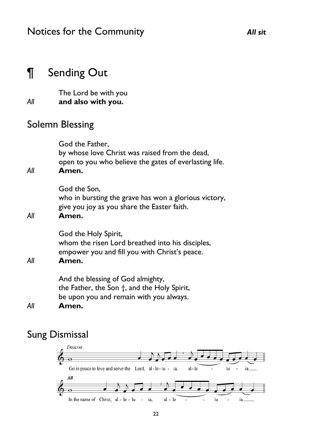### ¶ Sending Out

The Lord be with you *All* **and also with you.**

### Solemn Blessing

| All | God the Father,<br>by whose love Christ was raised from the dead,<br>open to you who believe the gates of everlasting life.<br>Amen.          |
|-----|-----------------------------------------------------------------------------------------------------------------------------------------------|
| All | God the Son.<br>who in bursting the grave has won a glorious victory,<br>give you joy as you share the Easter faith.<br>Amen.                 |
| All | God the Holy Spirit,<br>whom the risen Lord breathed into his disciples,<br>empower you and fill you with Christ's peace.<br>Amen.            |
| All | And the blessing of God almighty,<br>the Father, the Son $\dagger$ , and the Holy Spirit,<br>be upon you and remain with you always.<br>Amen. |

### Sung Dismissal

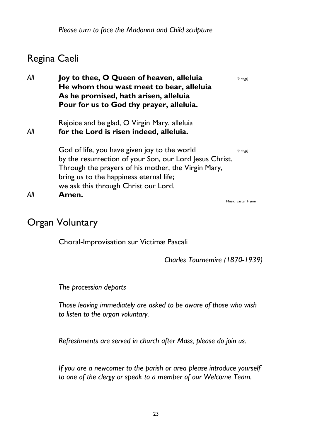### Regina Caeli

*All* **Joy to thee, O Queen of heaven, alleluia** *(9 rings)* **He whom thou wast meet to bear, alleluia As he promised, hath arisen, alleluia Pour for us to God thy prayer, alleluia.** Rejoice and be glad, O Virgin Mary, alleluia *All* **for the Lord is risen indeed, alleluia.** God of life, you have given joy to the world *(9 rings)* by the resurrection of your Son, our Lord Jesus Christ. Through the prayers of his mother, the Virgin Mary, bring us to the happiness eternal life; we ask this through Christ our Lord. *All* **Amen.** Music: Easter Hymn

### Organ Voluntary

Choral-Improvisation sur Victimæ Pascali

 *Charles Tournemire (1870-1939)*

*The procession departs*

*Those leaving immediately are asked to be aware of those who wish to listen to the organ voluntary.*

*Refreshments are served in church after Mass, please do join us.*

*If you are a newcomer to the parish or area please introduce yourself to one of the clergy or speak to a member of our Welcome Team.*